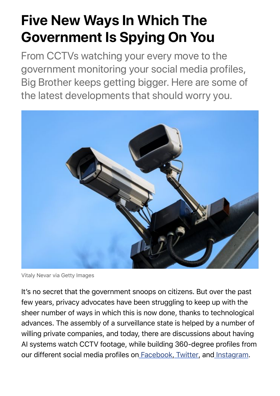# **Five New Ways In Which The Government Is Spying On You**

From CCTVs watching your every move to the government monitoring your social media profiles, Big Brother keeps getting bigger. Here are some of the latest developments that should worry you.



Vitaly Nevar via Getty Images

It's no secret that the government snoops on citizens. But over the past few years, privacy advocates have been struggling to keep up with the sheer number of ways in which this is now done, thanks to technological advances. The assembly of a surveillance state is helped by a number of willing private companies, and today, there are discussions about having AI systems watch CCTV footage, while building 360-degree profiles from our different social media profiles o[n Facebook](https://www.huffingtonpost.in/news/facebook/), [Twitter,](https://www.huffingtonpost.in/news/twitter/) an[d Instagram](https://www.huffingtonpost.in/news/instagram/).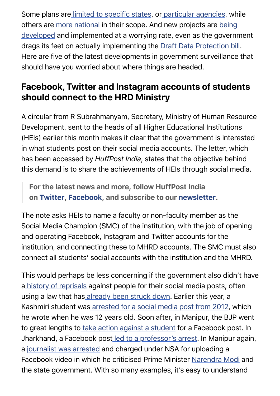Some plans ar[e limited to specific states,](https://www.huffingtonpost.in/2018/07/23/how-andhra-pradesh-built-indias-first-police-state-using-aadhaar-and-a-census_a_23487838/) o[r particular agencies,](https://www.huffingtonpost.in/2018/08/15/facial-recognition-ai-is-shaking-up-criminals-in-punjab-but-should-you-worry-too_a_23502796/) while [others are](https://www.huffingtonpost.in/2018/06/21/in-a-first-this-opposition-politician-is-actually-trying-to-stop-the-modi-govt-from-snooping-on-your-social-feeds-rather-than-salivating-at-the-thought-of-getting-hold-of-it-when-she-comes-to-power_a_23464305/) [more nationa](https://www.huffingtonpost.in/2018/09/07/the-indian-government-has-been-spying-on-your-social-media-in-secret_a_23519703/)[l in their scope. And new projects are being](https://www.huffingtonpost.in/2018/06/21/in-a-first-this-opposition-politician-is-actually-trying-to-stop-the-modi-govt-from-snooping-on-your-social-feeds-rather-than-salivating-at-the-thought-of-getting-hold-of-it-when-she-comes-to-power_a_23464305/) developed and implemented at a worrying rate, even as the government drags its feet on actually implementing th[e Draft Data Protection bill.](https://www.huffingtonpost.in/2018/07/27/srikrishna-report-recommendations-data-protection-authority-consent-is-key-data-collection-to-be-minimal-and-time-bound_a_23490854/) Here are five of the latest developments in government surveillance that should have you worried about where things are headed.

### **Facebook, Twitter and Instagram accounts of students should connect to the HRD Ministry**

A circular from R Subrahmanyam, Secretary, Ministry of Human Resource Development, sent to the heads of all Higher Educational Institutions (HEIs) earlier this month makes it clear that the government is interested in what students post on their social media accounts. The letter, which has been accessed by *HuffPost India*, states that the objective behind this demand is to share the achievements of HEIs through social media.

**For the latest news and more, follow HuffPost India on [Twitter,](https://twitter.com/huffpostindia) [Facebook,](https://www.facebook.com/HuffPostIndia/) and subscribe to our [newsletter](https://news.huffingtonpost.com/h/t/0F9641B183EF70ED).**

The note asks HEIs to name a faculty or non-faculty member as the Social Media Champion (SMC) of the institution, with the job of opening and operating Facebook, Instagram and Twitter accounts for the institution, and connecting these to MHRD accounts. The SMC must also connect all students' social accounts with the institution and the MHRD.

This would perhaps be less concerning if the government also didn't have [a history of reprisals](https://www.huffingtonpost.in/2018/04/23/what-happens-to-the-people-arrested-for-insulting-modi_a_23417412/) against people for their social media posts, often using a law that has [already been struck down.](https://www.huffingtonpost.in/2018/10/15/the-supreme-court-struck-down-section-66a-of-the-it-act-in-2015-why-are-cops-still-using-it-to-make-arrests_a_23561703/) Earlier this year, a Kashmiri student wa[s arrested for a social media post from 2012,](https://www.huffingtonpost.in/entry/a-kashmiri-student-was-jailed-for-10-days-for-facebook-post-he-wrote-as-12-year-old_in_5c792c4be4b033abd14ae04e) which he wrote when he was 12 years old. Soon after, in Manipur, the BJP went to great lengths t[o take action against a student](https://www.huffingtonpost.in/entry/manipurs-bjp-govt-went-to-crazy-lengths-to-punish-a-student-for-a-facebook-post_in_5c6ecd7ae4b0f40774cd051b) for a Facebook post. In Jharkhand, a Facebook pos[t led to a professor's arrest.](https://www.huffingtonpost.in/entry/adivasi-teacher-arrested-for-facebook-post-on-right-to-eat-beef_in_5cea2349e4b00e03656f7163) In Manipur again, a [journalist was arrested](https://www.huffingtonpost.in/entry/jailed-under-nsa-for-dissing-modi-journalist-has-a-message-for-voters_in_5cb7705be4b096f7d2db6621) and charged under NSA for uploading a Facebook video in which he criticised Prime Minister [Narendra Modi](https://www.huffingtonpost.in/news/narendra-modi/) and the state government. With so many examples, it's easy to understand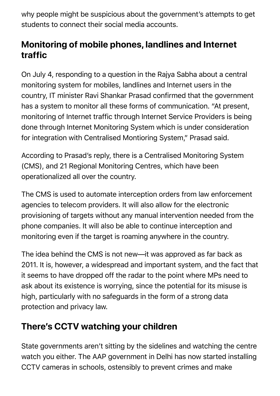why people might be suspicious about the government's attempts to get students to connect their social media accounts.

### **Monitoring of mobile phones, landlines and Internet traffic**

On July 4, responding to a question in the Rajya Sabha about a central monitoring system for mobiles, landlines and Internet users in the country, IT minister Ravi Shankar Prasad confirmed that the government has a system to monitor all these forms of communication. "At present, monitoring of Internet traffic through Internet Service Providers is being done through Internet Monitoring System which is under consideration for integration with Centralised Montioring System," Prasad said.

According to Prasad's reply, there is a Centralised Monitoring System (CMS), and 21 Regional Monitoring Centres, which have been operationalized all over the country.

The CMS is used to automate interception orders from law enforcement agencies to telecom providers. It will also allow for the electronic provisioning of targets without any manual intervention needed from the phone companies. It will also be able to continue interception and monitoring even if the target is roaming anywhere in the country.

The idea behind the CMS is not new—it was approved as far back as 2011. It is, however, a widespread and important system, and the fact that it seems to have dropped off the radar to the point where MPs need to ask about its existence is worrying, since the potential for its misuse is high, particularly with no safeguards in the form of a strong data protection and privacy law.

## **There's CCTV watching your children**

State governments aren't sitting by the sidelines and watching the centre watch you either. The AAP government in Delhi has now started installing CCTV cameras in schools, ostensibly to prevent crimes and make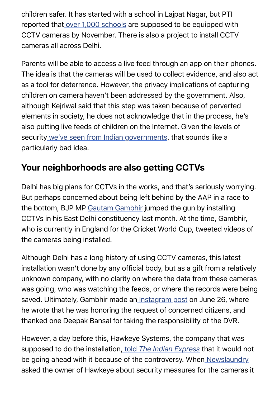children safer. It has started with a school in Lajpat Nagar, but PTI reported tha[t over 1,000 schools](https://timesofindia.indiatimes.com/city/delhi/cctv-cameras-in-all-delhi-government-schools-by-november-kejriwal/articleshow/70104481.cms) are supposed to be equipped with CCTV cameras by November. There is also a project to install CCTV cameras all across Delhi.

Parents will be able to access a live feed through an app on their phones. The idea is that the cameras will be used to collect evidence, and also act as a tool for deterrence. However, the privacy implications of capturing children on camera haven't been addressed by the government. Also, although Kejriwal said that this step was taken because of perverted elements in society, he does not acknowledge that in the process, he's also putting live feeds of children on the Internet. Given the levels of securit[y we've seen from Indian governments,](https://www.huffingtonpost.in/2018/07/08/the-ap-government-has-a-new-security-hub-to-guard-your-data-but-tech-isnt-the-problem_a_23476310/) that sounds like a particularly bad idea.

# **Your neighborhoods are also getting CCTVs**

Delhi has big plans for CCTVs in the works, and that's seriously worrying. But perhaps concerned about being left behind by the AAP in a race to the bottom, BJP MP [Gautam Gambhir](https://www.huffingtonpost.in/news/gautam-gambhir/) jumped the gun by installing CCTVs in his East Delhi constituency last month. At the time, Gambhir, who is currently in England for the Cricket World Cup, tweeted videos of the cameras being installed.

Although Delhi has a long history of using CCTV cameras, this latest installation wasn't done by any official body, but as a gift from a relatively unknown company, with no clarity on where the data from these cameras was going, who was watching the feeds, or where the records were being saved. Ultimately, Gambhir made a[n Instagram post](https://www.instagram.com/p/BzLGc8qA9pd/) on June 26, where he wrote that he was honoring the request of concerned citizens, and thanked one Deepak Bansal for taking the responsibility of the DVR.

However, a day before this, Hawkeye Systems, the company that was supposed to do the installation, told *[The Indian Express](https://indianexpress.com/article/cities/delhi/delhi-gautam-gambhirs-cctv-plan-runs-into-rough-weather-5797931/)* that it would not be going ahead with it because of the controversy. Whe[n Newslaundry](https://www.newslaundry.com/2019/06/26/the-curious-case-of-gautam-gambhirs-cctv-plan) asked the owner of Hawkeye about security measures for the cameras it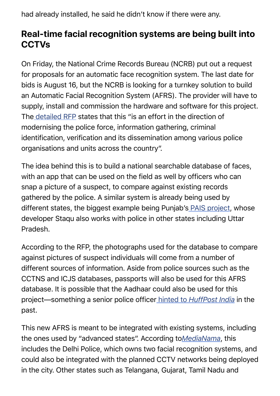had already installed, he said he didn't know if there were any.

#### **Real-time facial recognition systems are being built into CCTVs**

On Friday, the National Crime Records Bureau (NCRB) put out a request for proposals for an automatic face recognition system. The last date for bids is August 16, but the NCRB is looking for a turnkey solution to build an Automatic Facial Recognition System (AFRS). The provider will have to supply, install and commission the hardware and software for this project. Th[e detailed RFP](http://ncrb.gov.in/TENDERS/AFRS/RFP_NAFRS.pdf) states that this "is an effort in the direction of modernising the police force, information gathering, criminal identification, verification and its dissemination among various police organisations and units across the country".

The idea behind this is to build a national searchable database of faces, with an app that can be used on the field as well by officers who can snap a picture of a suspect, to compare against existing records gathered by the police. A similar system is already being used by different states, the biggest example being Punjab'[s PAIS project,](https://www.huffingtonpost.in/2018/08/15/facial-recognition-ai-is-shaking-up-criminals-in-punjab-but-should-you-worry-too_a_23502796/) whose developer Staqu also works with police in other states including Uttar Pradesh.

According to the RFP, the photographs used for the database to compare against pictures of suspect individuals will come from a number of different sources of information. Aside from police sources such as the CCTNS and ICJS databases, passports will also be used for this AFRS database. It is possible that the Aadhaar could also be used for this project—something a senior police officer hinted to *[HuffPost India](https://www.huffingtonpost.in/2018/08/15/facial-recognition-ai-is-shaking-up-criminals-in-punjab-but-should-you-worry-too_a_23502796/)* in the past.

This new AFRS is meant to be integrated with existing systems, including the ones used by "advanced states". According to*[MediaNama](https://www.medianama.com/2019/07/223-ncrb-invites-bids-to-implement-automated-facial-recognition-system/)*, this includes the Delhi Police, which owns two facial recognition systems, and could also be integrated with the planned CCTV networks being deployed in the city. Other states such as Telangana, Gujarat, Tamil Nadu and